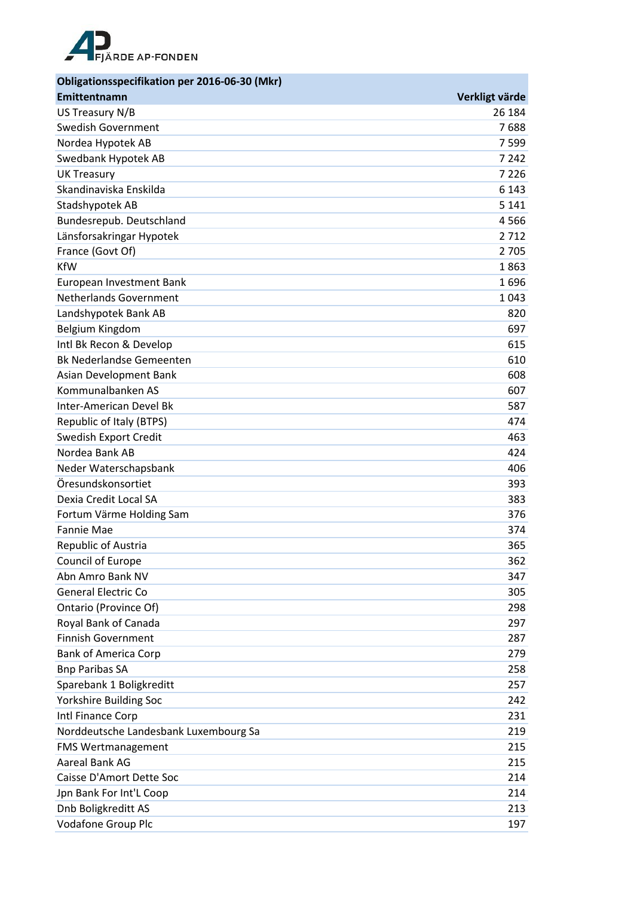

| Obligationsspecifikation per 2016-06-30 (Mkr) |                |
|-----------------------------------------------|----------------|
| Emittentnamn                                  | Verkligt värde |
| US Treasury N/B                               | 26 184         |
| <b>Swedish Government</b>                     | 7688           |
| Nordea Hypotek AB                             | 7 5 9 9        |
| Swedbank Hypotek AB                           | 7 2 4 2        |
| <b>UK Treasury</b>                            | 7 2 2 6        |
| Skandinaviska Enskilda                        | 6 1 4 3        |
| Stadshypotek AB                               | 5 1 4 1        |
| Bundesrepub. Deutschland                      | 4566           |
| Länsforsakringar Hypotek                      | 2712           |
| France (Govt Of)                              | 2 7 0 5        |
| <b>KfW</b>                                    | 1863           |
| European Investment Bank                      | 1696           |
| <b>Netherlands Government</b>                 | 1043           |
| Landshypotek Bank AB                          | 820            |
| Belgium Kingdom                               | 697            |
| Intl Bk Recon & Develop                       | 615            |
| <b>Bk Nederlandse Gemeenten</b>               | 610            |
| Asian Development Bank                        | 608            |
| Kommunalbanken AS                             | 607            |
| Inter-American Devel Bk                       | 587            |
| Republic of Italy (BTPS)                      | 474            |
| Swedish Export Credit                         | 463            |
| Nordea Bank AB                                | 424            |
| Neder Waterschapsbank                         | 406            |
| Öresundskonsortiet                            | 393            |
| Dexia Credit Local SA                         | 383            |
| Fortum Värme Holding Sam                      | 376            |
| <b>Fannie Mae</b>                             | 374            |
| Republic of Austria                           | 365            |
| Council of Europe                             | 362            |
| Abn Amro Bank NV                              | 347            |
| <b>General Electric Co</b>                    | 305            |
| Ontario (Province Of)                         | 298            |
| Royal Bank of Canada                          | 297            |
| <b>Finnish Government</b>                     | 287            |
| <b>Bank of America Corp</b>                   | 279            |
| <b>Bnp Paribas SA</b>                         | 258            |
| Sparebank 1 Boligkreditt                      | 257            |
| Yorkshire Building Soc                        | 242            |
| Intl Finance Corp                             | 231            |
| Norddeutsche Landesbank Luxembourg Sa         | 219            |
| <b>FMS Wertmanagement</b>                     | 215            |
| Aareal Bank AG                                | 215            |
| Caisse D'Amort Dette Soc                      | 214            |
| Jpn Bank For Int'L Coop                       | 214            |
| Dnb Boligkreditt AS                           | 213            |
| Vodafone Group Plc                            | 197            |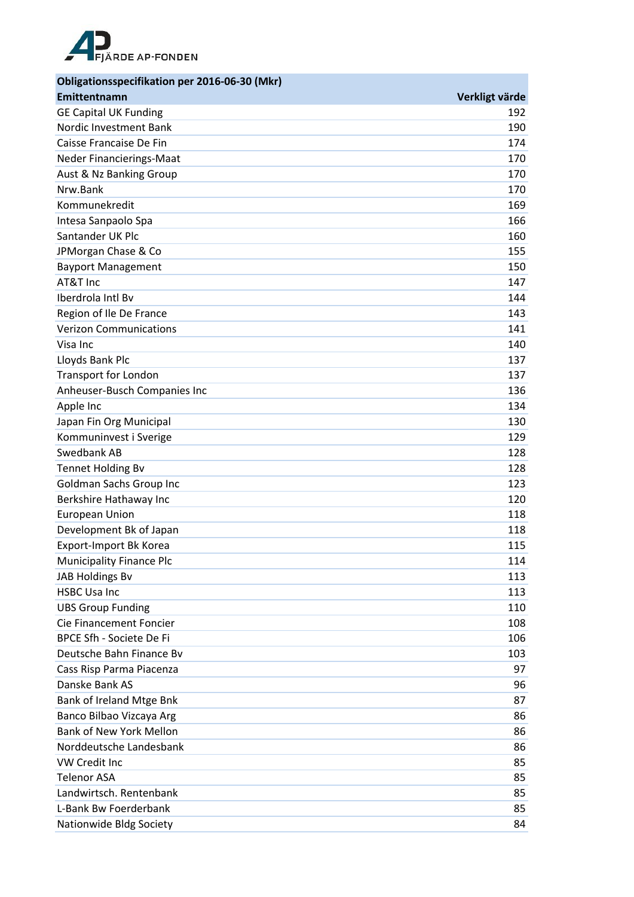

| Obligationsspecifikation per 2016-06-30 (Mkr) |                |
|-----------------------------------------------|----------------|
| Emittentnamn                                  | Verkligt värde |
| <b>GE Capital UK Funding</b>                  | 192            |
| Nordic Investment Bank                        | 190            |
| Caisse Francaise De Fin                       | 174            |
| <b>Neder Financierings-Maat</b>               | 170            |
| Aust & Nz Banking Group                       | 170            |
| Nrw.Bank                                      | 170            |
| Kommunekredit                                 | 169            |
| Intesa Sanpaolo Spa                           | 166            |
| Santander UK Plc                              | 160            |
| JPMorgan Chase & Co                           | 155            |
| <b>Bayport Management</b>                     | 150            |
| AT&T Inc                                      | 147            |
| Iberdrola Intl By                             | 144            |
| Region of Ile De France                       | 143            |
| <b>Verizon Communications</b>                 | 141            |
| Visa Inc                                      | 140            |
| Lloyds Bank Plc                               | 137            |
| <b>Transport for London</b>                   | 137            |
| Anheuser-Busch Companies Inc                  | 136            |
| Apple Inc                                     | 134            |
| Japan Fin Org Municipal                       | 130            |
| Kommuninvest i Sverige                        | 129            |
| Swedbank AB                                   | 128            |
| <b>Tennet Holding Bv</b>                      | 128            |
| Goldman Sachs Group Inc                       | 123            |
| Berkshire Hathaway Inc                        | 120            |
| <b>European Union</b>                         | 118            |
| Development Bk of Japan                       | 118            |
| Export-Import Bk Korea                        | 115            |
| <b>Municipality Finance Plc</b>               | 114            |
| JAB Holdings Bv                               | 113            |
| <b>HSBC Usa Inc</b>                           | 113            |
| <b>UBS Group Funding</b>                      | 110            |
| Cie Financement Foncier                       | 108            |
| BPCE Sfh - Societe De Fi                      | 106            |
| Deutsche Bahn Finance By                      | 103            |
| Cass Risp Parma Piacenza                      | 97             |
| Danske Bank AS                                | 96             |
| Bank of Ireland Mtge Bnk                      | 87             |
| Banco Bilbao Vizcaya Arg                      | 86             |
| <b>Bank of New York Mellon</b>                | 86             |
| Norddeutsche Landesbank                       | 86             |
| VW Credit Inc                                 | 85             |
| <b>Telenor ASA</b>                            | 85             |
| Landwirtsch. Rentenbank                       | 85             |
| L-Bank Bw Foerderbank                         | 85             |
| Nationwide Bldg Society                       | 84             |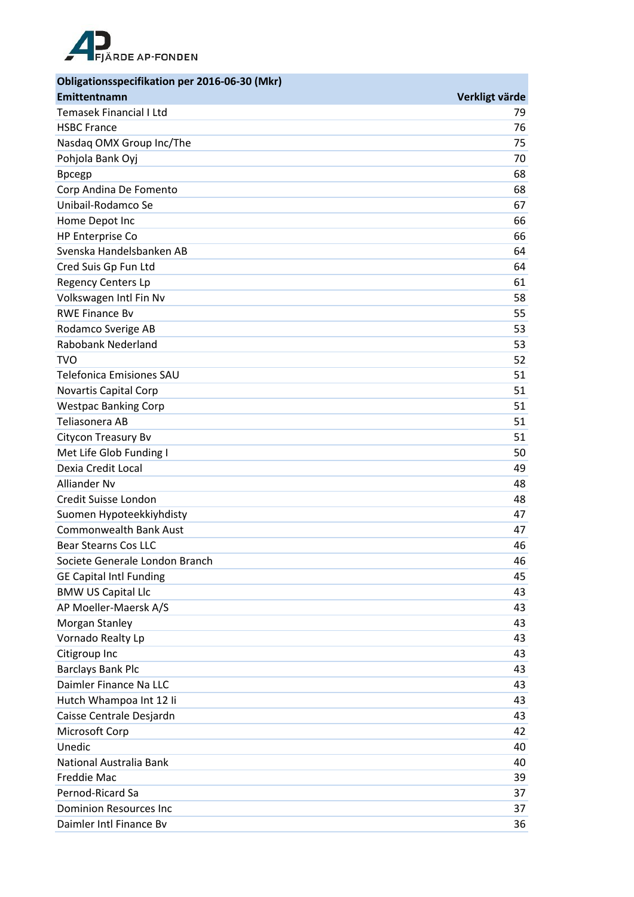

| Obligationsspecifikation per 2016-06-30 (Mkr) |                |
|-----------------------------------------------|----------------|
| Emittentnamn                                  | Verkligt värde |
| Temasek Financial I Ltd                       | 79             |
| <b>HSBC France</b>                            | 76             |
| Nasdaq OMX Group Inc/The                      | 75             |
| Pohjola Bank Oyj                              | 70             |
| <b>Bpcegp</b>                                 | 68             |
| Corp Andina De Fomento                        | 68             |
| Unibail-Rodamco Se                            | 67             |
| Home Depot Inc                                | 66             |
| HP Enterprise Co                              | 66             |
| Svenska Handelsbanken AB                      | 64             |
| Cred Suis Gp Fun Ltd                          | 64             |
| <b>Regency Centers Lp</b>                     | 61             |
| Volkswagen Intl Fin Nv                        | 58             |
| <b>RWE Finance Bv</b>                         | 55             |
| Rodamco Sverige AB                            | 53             |
| Rabobank Nederland                            | 53             |
| <b>TVO</b>                                    | 52             |
| <b>Telefonica Emisiones SAU</b>               | 51             |
| Novartis Capital Corp                         | 51             |
| <b>Westpac Banking Corp</b>                   | 51             |
| Teliasonera AB                                | 51             |
| Citycon Treasury Bv                           | 51             |
| Met Life Glob Funding I                       | 50             |
| Dexia Credit Local                            | 49             |
| Alliander Nv                                  | 48             |
| Credit Suisse London                          | 48             |
| Suomen Hypoteekkiyhdisty                      | 47             |
| <b>Commonwealth Bank Aust</b>                 | 47             |
| <b>Bear Stearns Cos LLC</b>                   | 46             |
| Societe Generale London Branch                | 46             |
| <b>GE Capital Intl Funding</b>                | 45             |
| <b>BMW US Capital Llc</b>                     | 43             |
| AP Moeller-Maersk A/S                         | 43             |
| Morgan Stanley                                | 43             |
| Vornado Realty Lp                             | 43             |
| Citigroup Inc                                 | 43             |
| <b>Barclays Bank Plc</b>                      | 43             |
| Daimler Finance Na LLC                        | 43             |
| Hutch Whampoa Int 12 li                       | 43             |
| Caisse Centrale Desjardn                      | 43             |
| Microsoft Corp                                | 42             |
| Unedic                                        | 40             |
| National Australia Bank                       | 40             |
| Freddie Mac                                   | 39             |
| Pernod-Ricard Sa                              | 37             |
| <b>Dominion Resources Inc</b>                 | 37             |
| Daimler Intl Finance Bv                       | 36             |